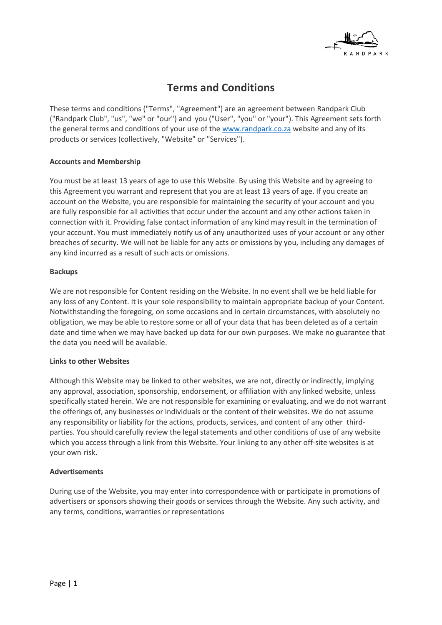

# **Terms and Conditions**

These terms and conditions ("Terms", "Agreement") are an agreement between Randpark Club ("Randpark Club", "us", "we" or "our") and you ("User", "you" or "your"). This Agreement sets forth the general terms and conditions of your use of the [www.randpark.co.za](http://www.randpark.co.za/) website and any of its products or services (collectively, "Website" or "Services").

# **Accounts and Membership**

You must be at least 13 years of age to use this Website. By using this Website and by agreeing to this Agreement you warrant and represent that you are at least 13 years of age. If you create an account on the Website, you are responsible for maintaining the security of your account and you are fully responsible for all activities that occur under the account and any other actions taken in connection with it. Providing false contact information of any kind may result in the termination of your account. You must immediately notify us of any unauthorized uses of your account or any other breaches of security. We will not be liable for any acts or omissions by you, including any damages of any kind incurred as a result of such acts or omissions.

## **Backups**

We are not responsible for Content residing on the Website. In no event shall we be held liable for any loss of any Content. It is your sole responsibility to maintain appropriate backup of your Content. Notwithstanding the foregoing, on some occasions and in certain circumstances, with absolutely no obligation, we may be able to restore some or all of your data that has been deleted as of a certain date and time when we may have backed up data for our own purposes. We make no guarantee that the data you need will be available.

# **Links to other Websites**

Although this Website may be linked to other websites, we are not, directly or indirectly, implying any approval, association, sponsorship, endorsement, or affiliation with any linked website, unless specifically stated herein. We are not responsible for examining or evaluating, and we do not warrant the offerings of, any businesses or individuals or the content of their websites. We do not assume any responsibility or liability for the actions, products, services, and content of any other thirdparties. You should carefully review the legal statements and other conditions of use of any website which you access through a link from this Website. Your linking to any other off-site websites is at your own risk.

#### **Advertisements**

During use of the Website, you may enter into correspondence with or participate in promotions of advertisers or sponsors showing their goods or services through the Website. Any such activity, and any terms, conditions, warranties or representations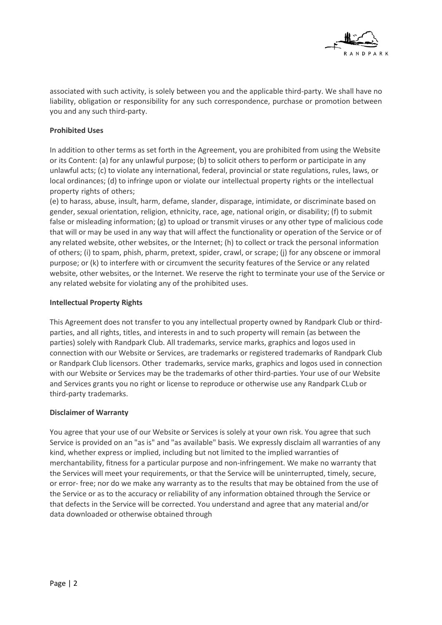

associated with such activity, is solely between you and the applicable third-party. We shall have no liability, obligation or responsibility for any such correspondence, purchase or promotion between you and any such third-party.

# **Prohibited Uses**

In addition to other terms as set forth in the Agreement, you are prohibited from using the Website or its Content: (a) for any unlawful purpose; (b) to solicit others to perform or participate in any unlawful acts; (c) to violate any international, federal, provincial or state regulations, rules, laws, or local ordinances; (d) to infringe upon or violate our intellectual property rights or the intellectual property rights of others;

(e) to harass, abuse, insult, harm, defame, slander, disparage, intimidate, or discriminate based on gender, sexual orientation, religion, ethnicity, race, age, national origin, or disability; (f) to submit false or misleading information; (g) to upload or transmit viruses or any other type of malicious code that will or may be used in any way that will affect the functionality or operation of the Service or of any related website, other websites, or the Internet; (h) to collect or track the personal information of others; (i) to spam, phish, pharm, pretext, spider, crawl, or scrape; (j) for any obscene or immoral purpose; or (k) to interfere with or circumvent the security features of the Service or any related website, other websites, or the Internet. We reserve the right to terminate your use of the Service or any related website for violating any of the prohibited uses.

# **Intellectual Property Rights**

This Agreement does not transfer to you any intellectual property owned by Randpark Club or thirdparties, and all rights, titles, and interests in and to such property will remain (as between the parties) solely with Randpark Club. All trademarks, service marks, graphics and logos used in connection with our Website or Services, are trademarks or registered trademarks of Randpark Club or Randpark Club licensors. Other trademarks, service marks, graphics and logos used in connection with our Website or Services may be the trademarks of other third-parties. Your use of our Website and Services grants you no right or license to reproduce or otherwise use any Randpark CLub or third-party trademarks.

# **Disclaimer of Warranty**

You agree that your use of our Website or Services is solely at your own risk. You agree that such Service is provided on an "as is" and "as available" basis. We expressly disclaim all warranties of any kind, whether express or implied, including but not limited to the implied warranties of merchantability, fitness for a particular purpose and non-infringement. We make no warranty that the Services will meet your requirements, or that the Service will be uninterrupted, timely, secure, or error- free; nor do we make any warranty as to the results that may be obtained from the use of the Service or as to the accuracy or reliability of any information obtained through the Service or that defects in the Service will be corrected. You understand and agree that any material and/or data downloaded or otherwise obtained through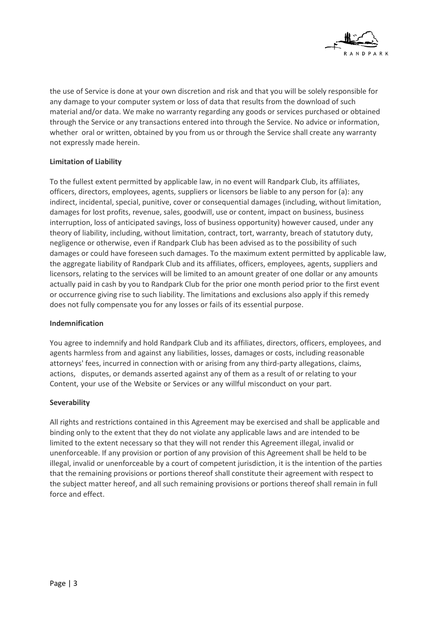

the use of Service is done at your own discretion and risk and that you will be solely responsible for any damage to your computer system or loss of data that results from the download of such material and/or data. We make no warranty regarding any goods or services purchased or obtained through the Service or any transactions entered into through the Service. No advice or information, whether oral or written, obtained by you from us or through the Service shall create any warranty not expressly made herein.

# **Limitation of Liability**

To the fullest extent permitted by applicable law, in no event will Randpark Club, its affiliates, officers, directors, employees, agents, suppliers or licensors be liable to any person for (a): any indirect, incidental, special, punitive, cover or consequential damages (including, without limitation, damages for lost profits, revenue, sales, goodwill, use or content, impact on business, business interruption, loss of anticipated savings, loss of business opportunity) however caused, under any theory of liability, including, without limitation, contract, tort, warranty, breach of statutory duty, negligence or otherwise, even if Randpark Club has been advised as to the possibility of such damages or could have foreseen such damages. To the maximum extent permitted by applicable law, the aggregate liability of Randpark Club and its affiliates, officers, employees, agents, suppliers and licensors, relating to the services will be limited to an amount greater of one dollar or any amounts actually paid in cash by you to Randpark Club for the prior one month period prior to the first event or occurrence giving rise to such liability. The limitations and exclusions also apply if this remedy does not fully compensate you for any losses or fails of its essential purpose.

# **Indemnification**

You agree to indemnify and hold Randpark Club and its affiliates, directors, officers, employees, and agents harmless from and against any liabilities, losses, damages or costs, including reasonable attorneys' fees, incurred in connection with or arising from any third-party allegations, claims, actions, disputes, or demands asserted against any of them as a result of or relating to your Content, your use of the Website or Services or any willful misconduct on your part.

# **Severability**

All rights and restrictions contained in this Agreement may be exercised and shall be applicable and binding only to the extent that they do not violate any applicable laws and are intended to be limited to the extent necessary so that they will not render this Agreement illegal, invalid or unenforceable. If any provision or portion of any provision of this Agreement shall be held to be illegal, invalid or unenforceable by a court of competent jurisdiction, it is the intention of the parties that the remaining provisions or portions thereof shall constitute their agreement with respect to the subject matter hereof, and all such remaining provisions or portions thereof shall remain in full force and effect.